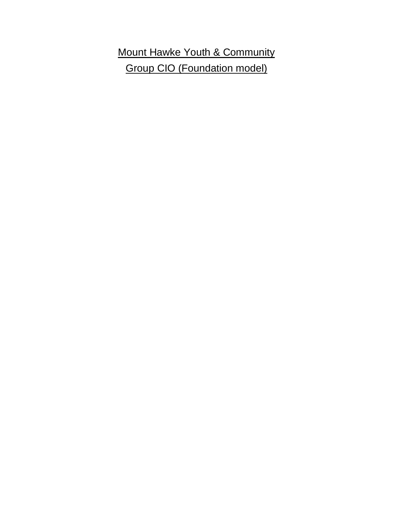Mount Hawke Youth & Community Group CIO (Foundation model)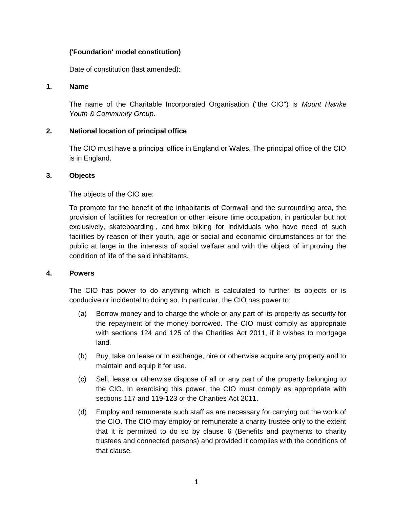# **('Foundation' model constitution)**

Date of constitution (last amended):

### **1. Name**

The name of the Charitable Incorporated Organisation ("the CIO") is *Mount Hawke Youth & Community Group*.

# **2. National location of principal office**

The CIO must have a principal office in England or Wales. The principal office of the CIO is in England.

## <span id="page-1-0"></span>**3. Objects**

The objects of the CIO are:

To promote for the benefit of the inhabitants of Cornwall and the surrounding area, the provision of facilities for recreation or other leisure time occupation, in particular but not exclusively, skateboarding , and bmx biking for individuals who have need of such facilities by reason of their youth, age or social and economic circumstances or for the public at large in the interests of social welfare and with the object of improving the condition of life of the said inhabitants.

## **4. Powers**

The CIO has power to do anything which is calculated to further its objects or is conducive or incidental to doing so. In particular, the CIO has power to:

- (a) Borrow money and to charge the whole or any part of its property as security for the repayment of the money borrowed. The CIO must comply as appropriate with sections 124 and 125 of the Charities Act 2011, if it wishes to mortgage land.
- (b) Buy, take on lease or in exchange, hire or otherwise acquire any property and to maintain and equip it for use.
- (c) Sell, lease or otherwise dispose of all or any part of the property belonging to the CIO. In exercising this power, the CIO must comply as appropriate with sections 117 and 119-123 of the Charities Act 2011.
- (d) Employ and remunerate such staff as are necessary for carrying out the work of the CIO. The CIO may employ or remunerate a charity trustee only to the extent that it is permitted to do so by clause [6](#page-2-0) (Benefits and payments to charity trustees and connected persons) and provided it complies with the conditions of that clause.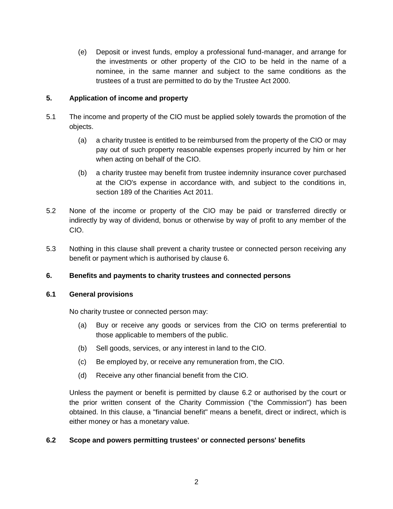(e) Deposit or invest funds, employ a professional fund-manager, and arrange for the investments or other property of the CIO to be held in the name of a nominee, in the same manner and subject to the same conditions as the trustees of a trust are permitted to do by the Trustee Act 2000.

## **5. Application of income and property**

- 5.1 The income and property of the CIO must be applied solely towards the promotion of the objects.
	- (a) a charity trustee is entitled to be reimbursed from the property of the CIO or may pay out of such property reasonable expenses properly incurred by him or her when acting on behalf of the CIO.
	- (b) a charity trustee may benefit from trustee indemnity insurance cover purchased at the CIO's expense in accordance with, and subject to the conditions in, section 189 of the Charities Act 2011.
- 5.2 None of the income or property of the CIO may be paid or transferred directly or indirectly by way of dividend, bonus or otherwise by way of profit to any member of the CIO.
- 5.3 Nothing in this clause shall prevent a charity trustee or connected person receiving any benefit or payment which is authorised by clause [6.](#page-2-0)

## <span id="page-2-0"></span>**6. Benefits and payments to charity trustees and connected persons**

## **6.1 General provisions**

No charity trustee or connected person may:

- (a) Buy or receive any goods or services from the CIO on terms preferential to those applicable to members of the public.
- (b) Sell goods, services, or any interest in land to the CIO.
- (c) Be employed by, or receive any remuneration from, the CIO.
- (d) Receive any other financial benefit from the CIO.

Unless the payment or benefit is permitted by clause [6.2](#page-2-1) or authorised by the court or the prior written consent of the Charity Commission ("the Commission") has been obtained. In this clause, a "financial benefit" means a benefit, direct or indirect, which is either money or has a monetary value.

## <span id="page-2-1"></span>**6.2 Scope and powers permitting trustees' or connected persons' benefits**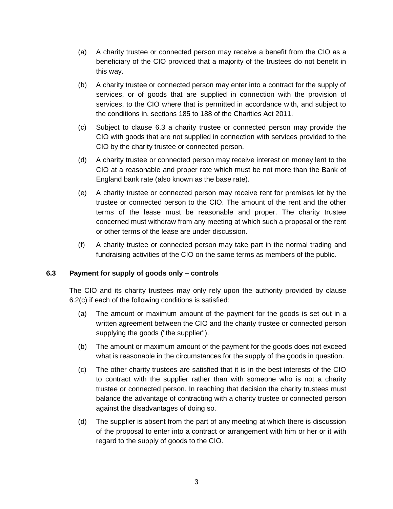- (a) A charity trustee or connected person may receive a benefit from the CIO as a beneficiary of the CIO provided that a majority of the trustees do not benefit in this way.
- (b) A charity trustee or connected person may enter into a contract for the supply of services, or of goods that are supplied in connection with the provision of services, to the CIO where that is permitted in accordance with, and subject to the conditions in, sections 185 to 188 of the Charities Act 2011.
- <span id="page-3-1"></span>(c) Subject to clause [6.3](#page-3-0) a charity trustee or connected person may provide the CIO with goods that are not supplied in connection with services provided to the CIO by the charity trustee or connected person.
- (d) A charity trustee or connected person may receive interest on money lent to the CIO at a reasonable and proper rate which must be not more than the Bank of England bank rate (also known as the base rate).
- (e) A charity trustee or connected person may receive rent for premises let by the trustee or connected person to the CIO. The amount of the rent and the other terms of the lease must be reasonable and proper. The charity trustee concerned must withdraw from any meeting at which such a proposal or the rent or other terms of the lease are under discussion.
- (f) A charity trustee or connected person may take part in the normal trading and fundraising activities of the CIO on the same terms as members of the public.

## <span id="page-3-0"></span>**6.3 Payment for supply of goods only – controls**

The CIO and its charity trustees may only rely upon the authority provided by clause 6.[2\(c\)](#page-3-1) if each of the following conditions is satisfied:

- (a) The amount or maximum amount of the payment for the goods is set out in a written agreement between the CIO and the charity trustee or connected person supplying the goods ("the supplier").
- (b) The amount or maximum amount of the payment for the goods does not exceed what is reasonable in the circumstances for the supply of the goods in question.
- (c) The other charity trustees are satisfied that it is in the best interests of the CIO to contract with the supplier rather than with someone who is not a charity trustee or connected person. In reaching that decision the charity trustees must balance the advantage of contracting with a charity trustee or connected person against the disadvantages of doing so.
- (d) The supplier is absent from the part of any meeting at which there is discussion of the proposal to enter into a contract or arrangement with him or her or it with regard to the supply of goods to the CIO.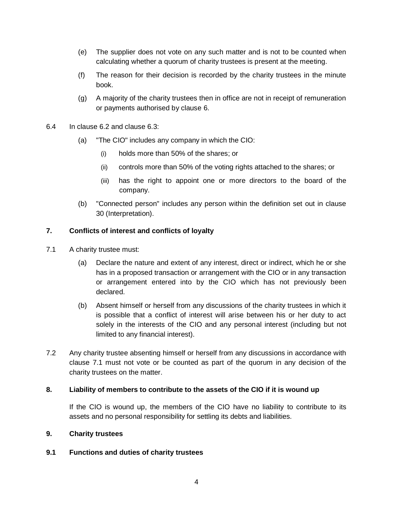- (e) The supplier does not vote on any such matter and is not to be counted when calculating whether a quorum of charity trustees is present at the meeting.
- (f) The reason for their decision is recorded by the charity trustees in the minute book.
- (g) A majority of the charity trustees then in office are not in receipt of remuneration or payments authorised by clause [6.](#page-2-0)
- 6.4 In clause [6.2](#page-2-1) and clause [6.3:](#page-3-0)
	- (a) "The CIO" includes any company in which the CIO:
		- (i) holds more than 50% of the shares; or
		- (ii) controls more than 50% of the voting rights attached to the shares; or
		- (iii) has the right to appoint one or more directors to the board of the company.
	- (b) "Connected person" includes any person within the definition set out in clause [30](#page-15-0) (Interpretation).

## <span id="page-4-1"></span>**7. Conflicts of interest and conflicts of loyalty**

- <span id="page-4-0"></span>7.1 A charity trustee must:
	- (a) Declare the nature and extent of any interest, direct or indirect, which he or she has in a proposed transaction or arrangement with the CIO or in any transaction or arrangement entered into by the CIO which has not previously been declared.
	- (b) Absent himself or herself from any discussions of the charity trustees in which it is possible that a conflict of interest will arise between his or her duty to act solely in the interests of the CIO and any personal interest (including but not limited to any financial interest).
- 7.2 Any charity trustee absenting himself or herself from any discussions in accordance with clause [7.1](#page-4-0) must not vote or be counted as part of the quorum in any decision of the charity trustees on the matter.

#### **8. Liability of members to contribute to the assets of the CIO if it is wound up**

If the CIO is wound up, the members of the CIO have no liability to contribute to its assets and no personal responsibility for settling its debts and liabilities.

#### **9. Charity trustees**

### **9.1 Functions and duties of charity trustees**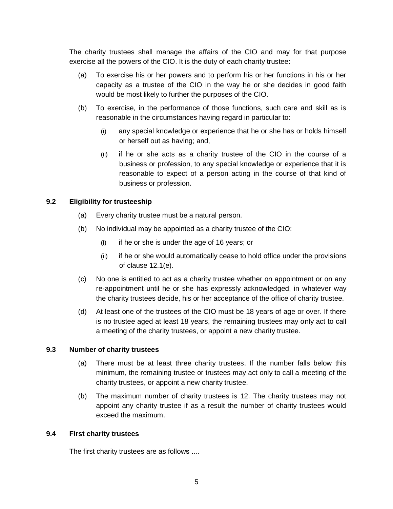The charity trustees shall manage the affairs of the CIO and may for that purpose exercise all the powers of the CIO. It is the duty of each charity trustee:

- (a) To exercise his or her powers and to perform his or her functions in his or her capacity as a trustee of the CIO in the way he or she decides in good faith would be most likely to further the purposes of the CIO.
- (b) To exercise, in the performance of those functions, such care and skill as is reasonable in the circumstances having regard in particular to:
	- (i) any special knowledge or experience that he or she has or holds himself or herself out as having; and,
	- (ii) if he or she acts as a charity trustee of the CIO in the course of a business or profession, to any special knowledge or experience that it is reasonable to expect of a person acting in the course of that kind of business or profession.

# **9.2 Eligibility for trusteeship**

- (a) Every charity trustee must be a natural person.
- (b) No individual may be appointed as a charity trustee of the CIO:
	- (i) if he or she is under the age of 16 years; or
	- (ii) if he or she would automatically cease to hold office under the provisions of clause 12.[1\(e\).](#page-7-0)
- (c) No one is entitled to act as a charity trustee whether on appointment or on any re-appointment until he or she has expressly acknowledged, in whatever way the charity trustees decide, his or her acceptance of the office of charity trustee.
- (d) At least one of the trustees of the CIO must be 18 years of age or over. If there is no trustee aged at least 18 years, the remaining trustees may only act to call a meeting of the charity trustees, or appoint a new charity trustee.

# **9.3 Number of charity trustees**

- (a) There must be at least three charity trustees. If the number falls below this minimum, the remaining trustee or trustees may act only to call a meeting of the charity trustees, or appoint a new charity trustee.
- (b) The maximum number of charity trustees is 12. The charity trustees may not appoint any charity trustee if as a result the number of charity trustees would exceed the maximum.

## **9.4 First charity trustees**

The first charity trustees are as follows ....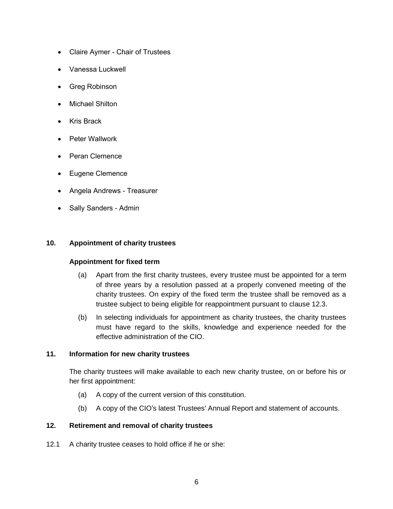- Claire Aymer Chair of Trustees
- Vanessa Luckwell
- Greg Robinson
- Michael Shilton
- Kris Brack
- Peter Wallwork
- Peran Clemence
- Eugene Clemence
- Angela Andrews Treasurer
- Sally Sanders Admin

### **10. Appointment of charity trustees**

## **Appointment for fixed term**

- (a) Apart from the first charity trustees, every trustee must be appointed for a term of three years by a resolution passed at a properly convened meeting of the charity trustees. On expiry of the fixed term the trustee shall be removed as a trustee subject to being eligible for reappointment pursuant to clause 12.3.
- (b) In selecting individuals for appointment as charity trustees, the charity trustees must have regard to the skills, knowledge and experience needed for the effective administration of the CIO.

## **11. Information for new charity trustees**

The charity trustees will make available to each new charity trustee, on or before his or her first appointment:

- (a) A copy of the current version of this constitution.
- (b) A copy of the CIO's latest Trustees' Annual Report and statement of accounts.

# **12. Retirement and removal of charity trustees**

12.1 A charity trustee ceases to hold office if he or she: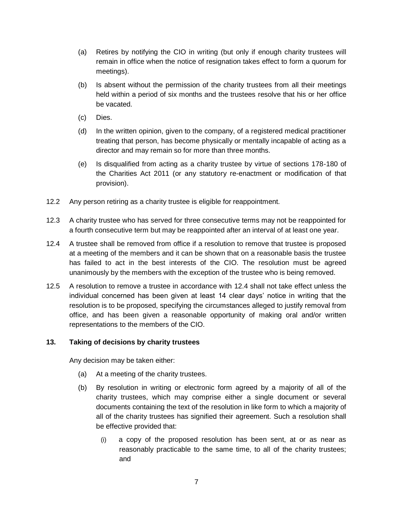- (a) Retires by notifying the CIO in writing (but only if enough charity trustees will remain in office when the notice of resignation takes effect to form a quorum for meetings).
- (b) Is absent without the permission of the charity trustees from all their meetings held within a period of six months and the trustees resolve that his or her office be vacated.
- (c) Dies.
- (d) In the written opinion, given to the company, of a registered medical practitioner treating that person, has become physically or mentally incapable of acting as a director and may remain so for more than three months.
- <span id="page-7-0"></span>(e) Is disqualified from acting as a charity trustee by virtue of sections 178-180 of the Charities Act 2011 (or any statutory re-enactment or modification of that provision).
- 12.2 Any person retiring as a charity trustee is eligible for reappointment.
- 12.3 A charity trustee who has served for three consecutive terms may not be reappointed for a fourth consecutive term but may be reappointed after an interval of at least one year.
- <span id="page-7-1"></span>12.4 A trustee shall be removed from office if a resolution to remove that trustee is proposed at a meeting of the members and it can be shown that on a reasonable basis the trustee has failed to act in the best interests of the CIO. The resolution must be agreed unanimously by the members with the exception of the trustee who is being removed.
- 12.5 A resolution to remove a trustee in accordance with [12.4](#page-7-1) shall not take effect unless the individual concerned has been given at least 14 clear days' notice in writing that the resolution is to be proposed, specifying the circumstances alleged to justify removal from office, and has been given a reasonable opportunity of making oral and/or written representations to the members of the CIO.

## **13. Taking of decisions by charity trustees**

Any decision may be taken either:

- (a) At a meeting of the charity trustees.
- (b) By resolution in writing or electronic form agreed by a majority of all of the charity trustees, which may comprise either a single document or several documents containing the text of the resolution in like form to which a majority of all of the charity trustees has signified their agreement. Such a resolution shall be effective provided that:
	- (i) a copy of the proposed resolution has been sent, at or as near as reasonably practicable to the same time, to all of the charity trustees; and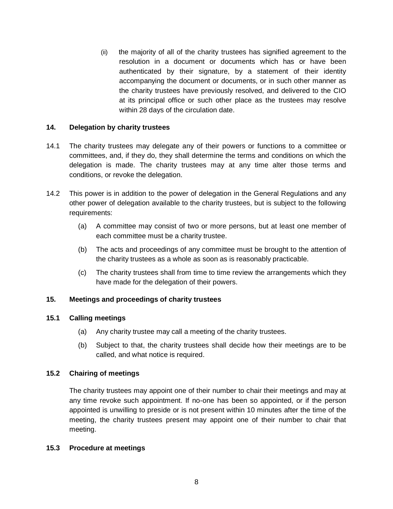(ii) the majority of all of the charity trustees has signified agreement to the resolution in a document or documents which has or have been authenticated by their signature, by a statement of their identity accompanying the document or documents, or in such other manner as the charity trustees have previously resolved, and delivered to the CIO at its principal office or such other place as the trustees may resolve within 28 days of the circulation date.

## **14. Delegation by charity trustees**

- 14.1 The charity trustees may delegate any of their powers or functions to a committee or committees, and, if they do, they shall determine the terms and conditions on which the delegation is made. The charity trustees may at any time alter those terms and conditions, or revoke the delegation.
- 14.2 This power is in addition to the power of delegation in the General Regulations and any other power of delegation available to the charity trustees, but is subject to the following requirements:
	- (a) A committee may consist of two or more persons, but at least one member of each committee must be a charity trustee.
	- (b) The acts and proceedings of any committee must be brought to the attention of the charity trustees as a whole as soon as is reasonably practicable.
	- (c) The charity trustees shall from time to time review the arrangements which they have made for the delegation of their powers.

## **15. Meetings and proceedings of charity trustees**

### **15.1 Calling meetings**

- (a) Any charity trustee may call a meeting of the charity trustees.
- (b) Subject to that, the charity trustees shall decide how their meetings are to be called, and what notice is required.

#### <span id="page-8-0"></span>**15.2 Chairing of meetings**

The charity trustees may appoint one of their number to chair their meetings and may at any time revoke such appointment. If no-one has been so appointed, or if the person appointed is unwilling to preside or is not present within 10 minutes after the time of the meeting, the charity trustees present may appoint one of their number to chair that meeting.

#### **15.3 Procedure at meetings**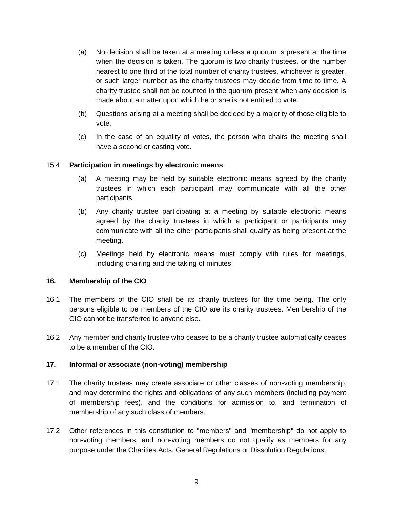- (a) No decision shall be taken at a meeting unless a quorum is present at the time when the decision is taken. The quorum is two charity trustees, or the number nearest to one third of the total number of charity trustees, whichever is greater, or such larger number as the charity trustees may decide from time to time. A charity trustee shall not be counted in the quorum present when any decision is made about a matter upon which he or she is not entitled to vote.
- (b) Questions arising at a meeting shall be decided by a majority of those eligible to vote.
- (c) In the case of an equality of votes, the person who chairs the meeting shall have a second or casting vote.

## <span id="page-9-0"></span>15.4 **Participation in meetings by electronic means**

- (a) A meeting may be held by suitable electronic means agreed by the charity trustees in which each participant may communicate with all the other participants.
- (b) Any charity trustee participating at a meeting by suitable electronic means agreed by the charity trustees in which a participant or participants may communicate with all the other participants shall qualify as being present at the meeting.
- (c) Meetings held by electronic means must comply with rules for meetings, including chairing and the taking of minutes.

#### **16. Membership of the CIO**

- 16.1 The members of the CIO shall be its charity trustees for the time being. The only persons eligible to be members of the CIO are its charity trustees. Membership of the CIO cannot be transferred to anyone else.
- 16.2 Any member and charity trustee who ceases to be a charity trustee automatically ceases to be a member of the CIO.

# **17. Informal or associate (non-voting) membership**

- 17.1 The charity trustees may create associate or other classes of non-voting membership, and may determine the rights and obligations of any such members (including payment of membership fees), and the conditions for admission to, and termination of membership of any such class of members.
- 17.2 Other references in this constitution to "members" and "membership" do not apply to non-voting members, and non-voting members do not qualify as members for any purpose under the Charities Acts, General Regulations or Dissolution Regulations.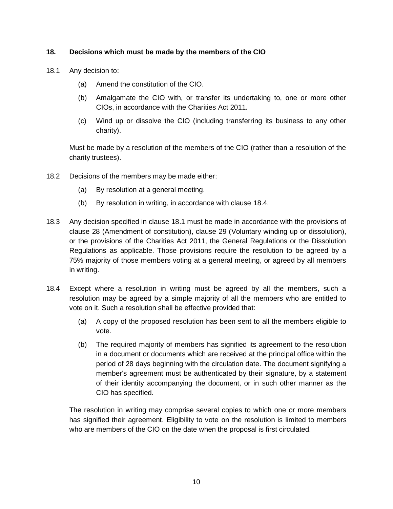# <span id="page-10-2"></span>**18. Decisions which must be made by the members of the CIO**

- <span id="page-10-1"></span>18.1 Any decision to:
	- (a) Amend the constitution of the CIO.
	- (b) Amalgamate the CIO with, or transfer its undertaking to, one or more other CIOs, in accordance with the Charities Act 2011.
	- (c) Wind up or dissolve the CIO (including transferring its business to any other charity).

Must be made by a resolution of the members of the CIO (rather than a resolution of the charity trustees).

- 18.2 Decisions of the members may be made either:
	- (a) By resolution at a general meeting.
	- (b) By resolution in writing, in accordance with clause [18.4.](#page-10-0)
- 18.3 Any decision specified in clause [18.1](#page-10-1) must be made in accordance with the provisions of clause [28](#page-13-0) (Amendment of constitution), clause [29](#page-14-0) (Voluntary winding up or dissolution), or the provisions of the Charities Act 2011, the General Regulations or the Dissolution Regulations as applicable. Those provisions require the resolution to be agreed by a 75% majority of those members voting at a general meeting, or agreed by all members in writing.
- <span id="page-10-0"></span>18.4 Except where a resolution in writing must be agreed by all the members, such a resolution may be agreed by a simple majority of all the members who are entitled to vote on it. Such a resolution shall be effective provided that:
	- (a) A copy of the proposed resolution has been sent to all the members eligible to vote.
	- (b) The required majority of members has signified its agreement to the resolution in a document or documents which are received at the principal office within the period of 28 days beginning with the circulation date. The document signifying a member's agreement must be authenticated by their signature, by a statement of their identity accompanying the document, or in such other manner as the CIO has specified.

The resolution in writing may comprise several copies to which one or more members has signified their agreement. Eligibility to vote on the resolution is limited to members who are members of the CIO on the date when the proposal is first circulated.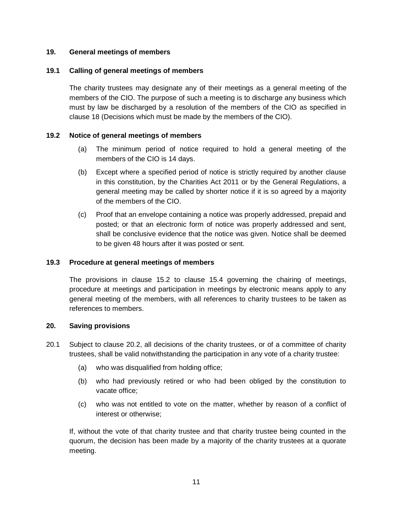## <span id="page-11-1"></span>**19. General meetings of members**

### **19.1 Calling of general meetings of members**

The charity trustees may designate any of their meetings as a general meeting of the members of the CIO. The purpose of such a meeting is to discharge any business which must by law be discharged by a resolution of the members of the CIO as specified in clause [18](#page-10-2) (Decisions which must be made by the members of the CIO).

### **19.2 Notice of general meetings of members**

- (a) The minimum period of notice required to hold a general meeting of the members of the CIO is 14 days.
- (b) Except where a specified period of notice is strictly required by another clause in this constitution, by the Charities Act 2011 or by the General Regulations, a general meeting may be called by shorter notice if it is so agreed by a majority of the members of the CIO.
- (c) Proof that an envelope containing a notice was properly addressed, prepaid and posted; or that an electronic form of notice was properly addressed and sent, shall be conclusive evidence that the notice was given. Notice shall be deemed to be given 48 hours after it was posted or sent.

#### **19.3 Procedure at general meetings of members**

The provisions in clause [15.2](#page-8-0) to clause [15.4](#page-9-0) governing the chairing of meetings, procedure at meetings and participation in meetings by electronic means apply to any general meeting of the members, with all references to charity trustees to be taken as references to members.

### **20. Saving provisions**

- <span id="page-11-0"></span>20.1 Subject to clause [20.2,](#page-12-0) all decisions of the charity trustees, or of a committee of charity trustees, shall be valid notwithstanding the participation in any vote of a charity trustee:
	- (a) who was disqualified from holding office;
	- (b) who had previously retired or who had been obliged by the constitution to vacate office;
	- (c) who was not entitled to vote on the matter, whether by reason of a conflict of interest or otherwise;

If, without the vote of that charity trustee and that charity trustee being counted in the quorum, the decision has been made by a majority of the charity trustees at a quorate meeting.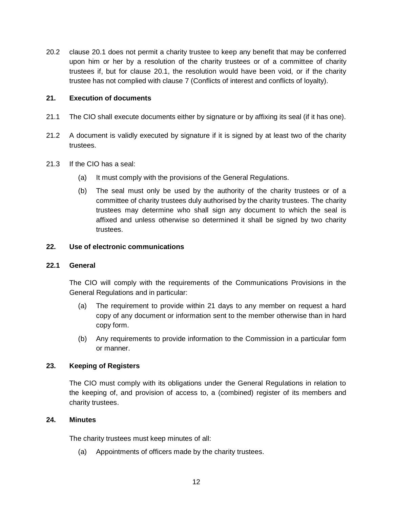<span id="page-12-0"></span>20.2 clause [20.1](#page-11-0) does not permit a charity trustee to keep any benefit that may be conferred upon him or her by a resolution of the charity trustees or of a committee of charity trustees if, but for clause [20.1,](#page-11-0) the resolution would have been void, or if the charity trustee has not complied with clause [7](#page-4-1) (Conflicts of interest and conflicts of loyalty).

### **21. Execution of documents**

- 21.1 The CIO shall execute documents either by signature or by affixing its seal (if it has one).
- 21.2 A document is validly executed by signature if it is signed by at least two of the charity trustees.
- 21.3 If the CIO has a seal:
	- (a) It must comply with the provisions of the General Regulations.
	- (b) The seal must only be used by the authority of the charity trustees or of a committee of charity trustees duly authorised by the charity trustees. The charity trustees may determine who shall sign any document to which the seal is affixed and unless otherwise so determined it shall be signed by two charity trustees.

#### **22. Use of electronic communications**

### **22.1 General**

The CIO will comply with the requirements of the Communications Provisions in the General Regulations and in particular:

- (a) The requirement to provide within 21 days to any member on request a hard copy of any document or information sent to the member otherwise than in hard copy form.
- (b) Any requirements to provide information to the Commission in a particular form or manner.

#### **23. Keeping of Registers**

The CIO must comply with its obligations under the General Regulations in relation to the keeping of, and provision of access to, a (combined) register of its members and charity trustees.

#### **24. Minutes**

The charity trustees must keep minutes of all:

(a) Appointments of officers made by the charity trustees.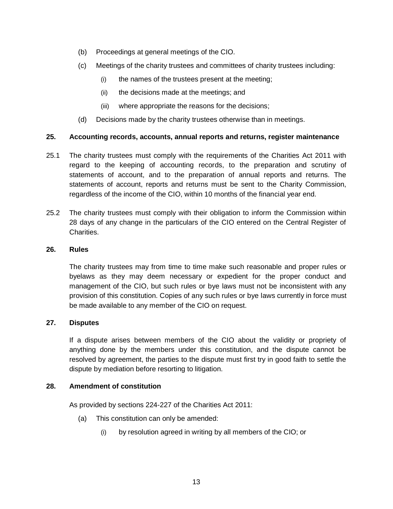- (b) Proceedings at general meetings of the CIO.
- (c) Meetings of the charity trustees and committees of charity trustees including:
	- (i) the names of the trustees present at the meeting;
	- (ii) the decisions made at the meetings; and
	- (iii) where appropriate the reasons for the decisions;
- (d) Decisions made by the charity trustees otherwise than in meetings.

# **25. Accounting records, accounts, annual reports and returns, register maintenance**

- 25.1 The charity trustees must comply with the requirements of the Charities Act 2011 with regard to the keeping of accounting records, to the preparation and scrutiny of statements of account, and to the preparation of annual reports and returns. The statements of account, reports and returns must be sent to the Charity Commission, regardless of the income of the CIO, within 10 months of the financial year end.
- 25.2 The charity trustees must comply with their obligation to inform the Commission within 28 days of any change in the particulars of the CIO entered on the Central Register of Charities.

## **26. Rules**

The charity trustees may from time to time make such reasonable and proper rules or byelaws as they may deem necessary or expedient for the proper conduct and management of the CIO, but such rules or bye laws must not be inconsistent with any provision of this constitution. Copies of any such rules or bye laws currently in force must be made available to any member of the CIO on request.

## **27. Disputes**

If a dispute arises between members of the CIO about the validity or propriety of anything done by the members under this constitution, and the dispute cannot be resolved by agreement, the parties to the dispute must first try in good faith to settle the dispute by mediation before resorting to litigation.

## <span id="page-13-0"></span>**28. Amendment of constitution**

As provided by sections 224-227 of the Charities Act 2011:

- (a) This constitution can only be amended:
	- (i) by resolution agreed in writing by all members of the CIO; or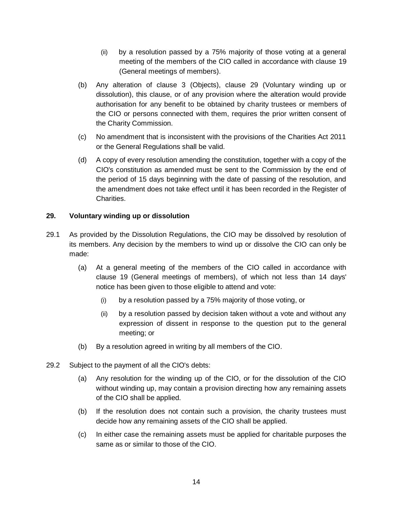- (ii) by a resolution passed by a 75% majority of those voting at a general meeting of the members of the CIO called in accordance with clause [19](#page-11-1) (General meetings of members).
- (b) Any alteration of clause [3](#page-1-0) (Objects), clause [29](#page-14-0) (Voluntary winding up or dissolution), this clause, or of any provision where the alteration would provide authorisation for any benefit to be obtained by charity trustees or members of the CIO or persons connected with them, requires the prior written consent of the Charity Commission.
- (c) No amendment that is inconsistent with the provisions of the Charities Act 2011 or the General Regulations shall be valid.
- (d) A copy of every resolution amending the constitution, together with a copy of the CIO's constitution as amended must be sent to the Commission by the end of the period of 15 days beginning with the date of passing of the resolution, and the amendment does not take effect until it has been recorded in the Register of Charities.

# <span id="page-14-0"></span>**29. Voluntary winding up or dissolution**

- 29.1 As provided by the Dissolution Regulations, the CIO may be dissolved by resolution of its members. Any decision by the members to wind up or dissolve the CIO can only be made:
	- (a) At a general meeting of the members of the CIO called in accordance with clause [19](#page-11-1) (General meetings of members), of which not less than 14 days' notice has been given to those eligible to attend and vote:
		- (i) by a resolution passed by a 75% majority of those voting, or
		- (ii) by a resolution passed by decision taken without a vote and without any expression of dissent in response to the question put to the general meeting; or
	- (b) By a resolution agreed in writing by all members of the CIO.
- 29.2 Subject to the payment of all the CIO's debts:
	- (a) Any resolution for the winding up of the CIO, or for the dissolution of the CIO without winding up, may contain a provision directing how any remaining assets of the CIO shall be applied.
	- (b) If the resolution does not contain such a provision, the charity trustees must decide how any remaining assets of the CIO shall be applied.
	- (c) In either case the remaining assets must be applied for charitable purposes the same as or similar to those of the CIO.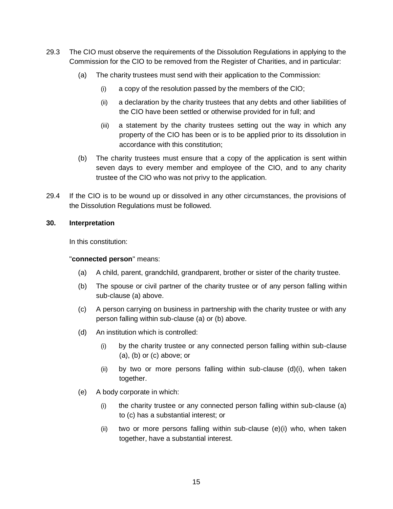- 29.3 The CIO must observe the requirements of the Dissolution Regulations in applying to the Commission for the CIO to be removed from the Register of Charities, and in particular:
	- (a) The charity trustees must send with their application to the Commission:
		- (i) a copy of the resolution passed by the members of the CIO;
		- (ii) a declaration by the charity trustees that any debts and other liabilities of the CIO have been settled or otherwise provided for in full; and
		- (iii) a statement by the charity trustees setting out the way in which any property of the CIO has been or is to be applied prior to its dissolution in accordance with this constitution;
	- (b) The charity trustees must ensure that a copy of the application is sent within seven days to every member and employee of the CIO, and to any charity trustee of the CIO who was not privy to the application.
- 29.4 If the CIO is to be wound up or dissolved in any other circumstances, the provisions of the Dissolution Regulations must be followed.

# <span id="page-15-0"></span>**30. Interpretation**

In this constitution:

#### "**connected person**" means:

- (a) A child, parent, grandchild, grandparent, brother or sister of the charity trustee.
- (b) The spouse or civil partner of the charity trustee or of any person falling within sub-clause (a) above.
- (c) A person carrying on business in partnership with the charity trustee or with any person falling within sub-clause (a) or (b) above.
- (d) An institution which is controlled:
	- (i) by the charity trustee or any connected person falling within sub-clause  $(a)$ ,  $(b)$  or  $(c)$  above; or
	- (ii) by two or more persons falling within sub-clause  $(d)(i)$ , when taken together.
- (e) A body corporate in which:
	- (i) the charity trustee or any connected person falling within sub-clause (a) to (c) has a substantial interest; or
	- (ii) two or more persons falling within sub-clause (e)(i) who, when taken together, have a substantial interest.